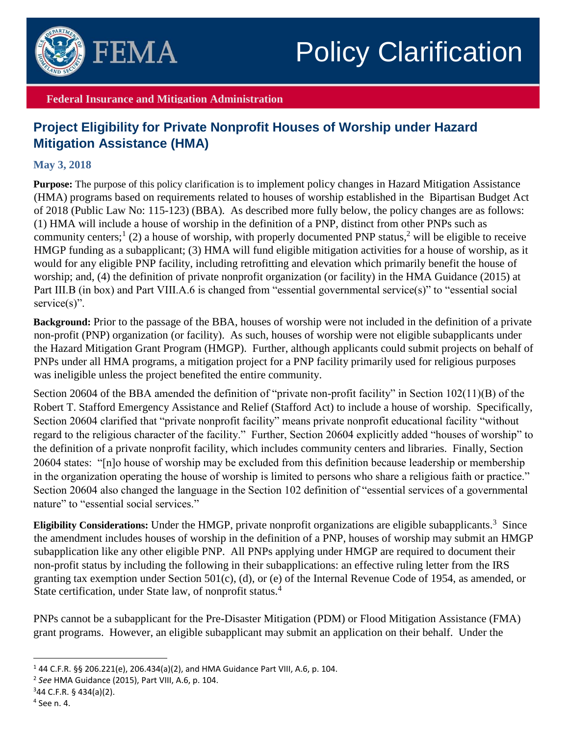

## Policy Clarification

## **Federal Insurance and Mitigation Administration**

## **Project Eligibility for Private Nonprofit Houses of Worship under Hazard Mitigation Assistance (HMA)**

## **May 3, 2018**

**Purpose:** The purpose of this policy clarification is to implement policy changes in Hazard Mitigation Assistance (HMA) programs based on requirements related to houses of worship established in the Bipartisan Budget Act of 2018 (Public Law No: 115-123) (BBA). As described more fully below, the policy changes are as follows: (1) HMA will include a house of worship in the definition of a PNP, distinct from other PNPs such as community centers;<sup>1</sup> (2) a house of worship, with properly documented PNP status,<sup>2</sup> will be eligible to receive HMGP funding as a subapplicant; (3) HMA will fund eligible mitigation activities for a house of worship, as it would for any eligible PNP facility, including retrofitting and elevation which primarily benefit the house of worship; and, (4) the definition of private nonprofit organization (or facility) in the HMA Guidance (2015) at Part III.B (in box) and Part VIII.A.6 is changed from "essential governmental service(s)" to "essential social service(s)".

**Background:** Prior to the passage of the BBA, houses of worship were not included in the definition of a private non-profit (PNP) organization (or facility). As such, houses of worship were not eligible subapplicants under the Hazard Mitigation Grant Program (HMGP). Further, although applicants could submit projects on behalf of PNPs under all HMA programs, a mitigation project for a PNP facility primarily used for religious purposes was ineligible unless the project benefited the entire community.

Section 20604 of the BBA amended the definition of "private non-profit facility" in Section 102(11)(B) of the Robert T. Stafford Emergency Assistance and Relief (Stafford Act) to include a house of worship. Specifically, Section 20604 clarified that "private nonprofit facility" means private nonprofit educational facility "without regard to the religious character of the facility." Further, Section 20604 explicitly added "houses of worship" to the definition of a private nonprofit facility, which includes community centers and libraries. Finally, Section 20604 states: "[n]o house of worship may be excluded from this definition because leadership or membership in the organization operating the house of worship is limited to persons who share a religious faith or practice." Section 20604 also changed the language in the Section 102 definition of "essential services of a governmental nature" to "essential social services."

Eligibility Considerations: Under the HMGP, private nonprofit organizations are eligible subapplicants.<sup>3</sup> Since the amendment includes houses of worship in the definition of a PNP, houses of worship may submit an HMGP subapplication like any other eligible PNP. All PNPs applying under HMGP are required to document their non-profit status by including the following in their subapplications: an effective ruling letter from the IRS granting tax exemption under Section 501(c), (d), or (e) of the Internal Revenue Code of 1954, as amended, or State certification, under State law, of nonprofit status.<sup>4</sup>

PNPs cannot be a subapplicant for the Pre-Disaster Mitigation (PDM) or Flood Mitigation Assistance (FMA) grant programs. However, an eligible subapplicant may submit an application on their behalf. Under the

 $\overline{a}$ 

<sup>&</sup>lt;sup>1</sup> 44 C.F.R. §§ 206.221(e), 206.434(a)(2), and HMA Guidance Part VIII, A.6, p. 104.

<sup>2</sup> *See* HMA Guidance (2015), Part VIII, A.6, p. 104.

 $344$  C.F.R. § 434(a)(2).

<sup>4</sup> See n. 4.